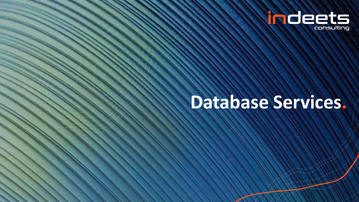

# **Database Services.**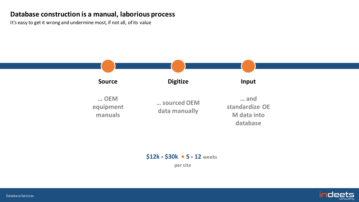#### **Database construction is a manual, laborious process**

It's easy to get it wrong and undermine most, if not all, of its value



#### **\$12k - \$30k 5 - 12 weeks**

**per site**

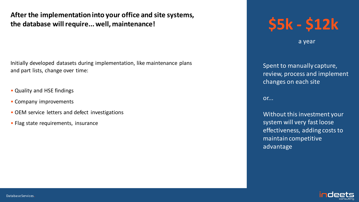**After the implementation into your office and site systems, the database will require... well, maintenance!**

Initially developed datasets during implementation, like maintenance plans and part lists, change over time:

- Quality and HSE findings
- Company improvements
- OEM service letters and defect investigations
- Flag state requirements, insurance

# **\$5k - \$12k**

a year

Spent to manually capture, review, process and implement changes on each site

or...

Without this investment your system will very fast loose effectiveness, adding costs to maintain competitive advantage

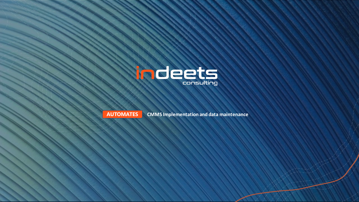



**AUTOMATES CMMS Implementation and data maintenance**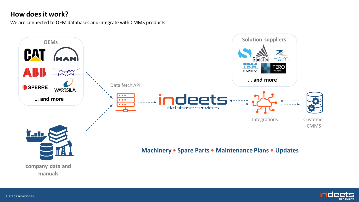### **How does it work?**

We are connected to OEM databases and integrate with CMMS products





Database Services**.**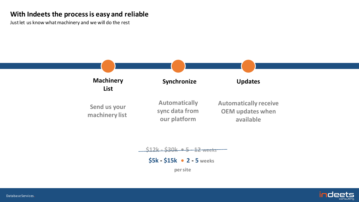#### **With Indeets the process is easy and reliable**

Just let us know what machinery and we will do the rest



#### **\$12k - \$30k 5 - 12 weeks**

**\$5k - \$15k 2 - 5 weeks**

**per site**

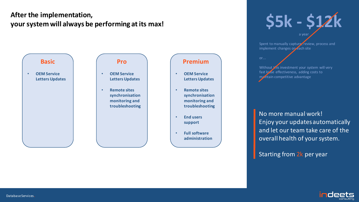### **After the implementation,**  After the implementation,<br>your system will always be performing at its max!<br>**\$5k - \$12k**





• **Remote sites synchronisation monitoring and troubleshooting**

## **Premium**

- **OEM Service Letters Updates**
- **Remote sites synchronisation monitoring and troubleshooting**
- **End users support**
- **Full software administration**

a year

Spent to manually capture, review, process and implement changes on each site

or...

Without this investment your system will very fast loose effectiveness, adding costs to maintain competitive advantage

No more manual work! Enjoy your updates automatically and let our team take care of the overall health of your system.

Starting from 2k per year